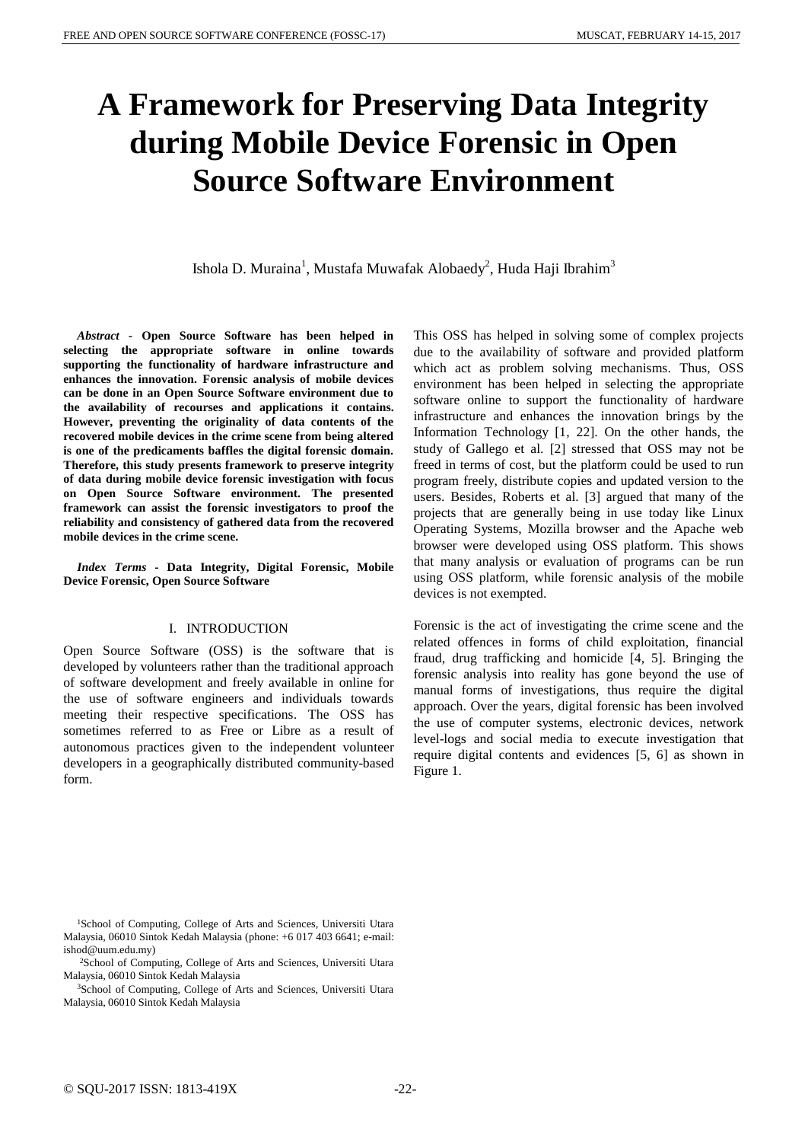# **A Framework for Preserving Data Integrity during Mobile Device Forensic in Open Source Software Environment**

Ishola D. Muraina<sup>1</sup>, Mustafa Muwafak Alobaedy<sup>2</sup>, Huda Haji Ibrahim<sup>3</sup>

*Abstract* **- Open Source Software has been helped in selecting the appropriate software in online towards supporting the functionality of hardware infrastructure and enhances the innovation. Forensic analysis of mobile devices can be done in an Open Source Software environment due to the availability of recourses and applications it contains. However, preventing the originality of data contents of the recovered mobile devices in the crime scene from being altered is one of the predicaments baffles the digital forensic domain. Therefore, this study presents framework to preserve integrity of data during mobile device forensic investigation with focus on Open Source Software environment. The presented framework can assist the forensic investigators to proof the reliability and consistency of gathered data from the recovered mobile devices in the crime scene.**

*Index Terms* **- Data Integrity, Digital Forensic, Mobile Device Forensic, Open Source Software**

# I. INTRODUCTION

Open Source Software (OSS) is the software that is developed by volunteers rather than the traditional approach of software development and freely available in online for the use of software engineers and individuals towards meeting their respective specifications. The OSS has sometimes referred to as Free or Libre as a result of autonomous practices given to the independent volunteer developers in a geographically distributed community-based form.

This OSS has helped in solving some of complex projects due to the availability of software and provided platform which act as problem solving mechanisms. Thus, OSS environment has been helped in selecting the appropriate software online to support the functionality of hardware infrastructure and enhances the innovation brings by the Information Technology [1, 22]. On the other hands, the study of Gallego et al. [2] stressed that OSS may not be freed in terms of cost, but the platform could be used to run program freely, distribute copies and updated version to the users. Besides, Roberts et al. [3] argued that many of the projects that are generally being in use today like Linux Operating Systems, Mozilla browser and the Apache web browser were developed using OSS platform. This shows that many analysis or evaluation of programs can be run using OSS platform, while forensic analysis of the mobile devices is not exempted.

Forensic is the act of investigating the crime scene and the related offences in forms of child exploitation, financial fraud, drug trafficking and homicide [4, 5]. Bringing the forensic analysis into reality has gone beyond the use of manual forms of investigations, thus require the digital approach. Over the years, digital forensic has been involved the use of computer systems, electronic devices, network level-logs and social media to execute investigation that require digital contents and evidences [5, 6] as shown in Figure 1.

<sup>&</sup>lt;sup>1</sup>School of Computing, College of Arts and Sciences, Universiti Utara Malaysia, 06010 Sintok Kedah Malaysia (phone: +6 017 403 6641; e-mail: ishod@uum.edu.my)

<sup>2</sup>School of Computing, College of Arts and Sciences, Universiti Utara Malaysia, 06010 Sintok Kedah Malaysia

<sup>3</sup>School of Computing, College of Arts and Sciences, Universiti Utara Malaysia, 06010 Sintok Kedah Malaysia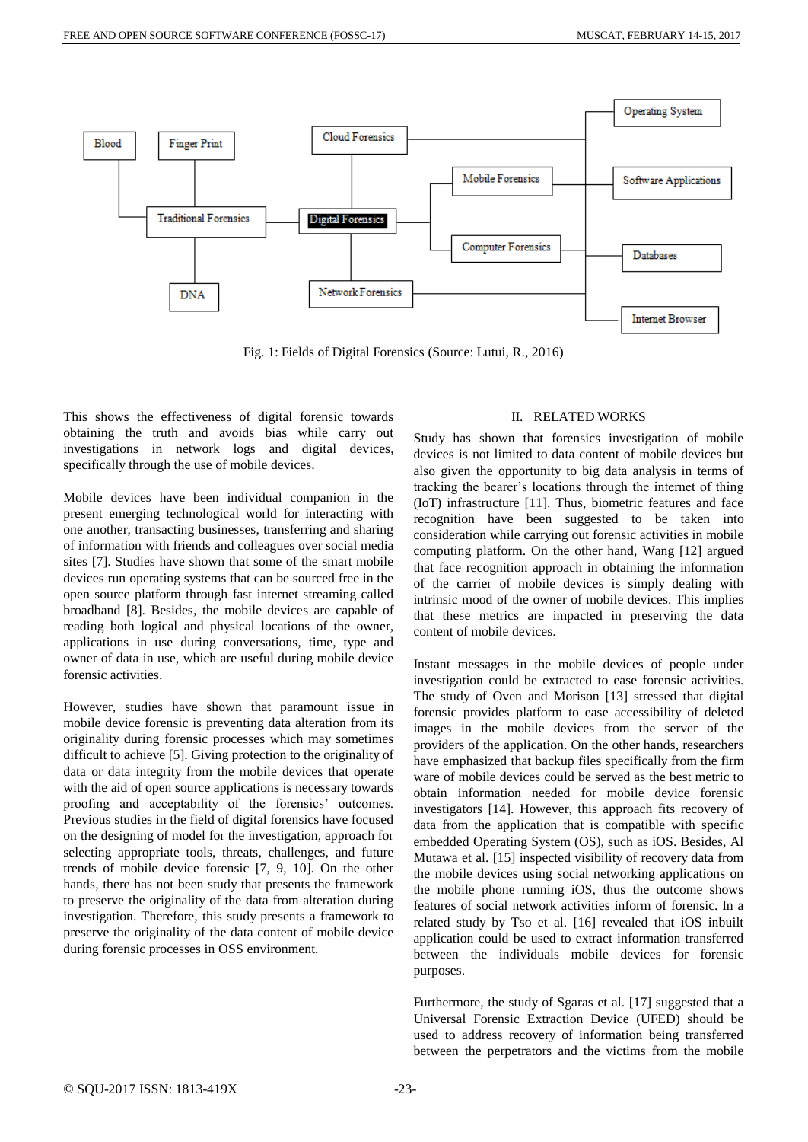

Fig. 1: Fields of Digital Forensics (Source: Lutui, R., 2016)

This shows the effectiveness of digital forensic towards obtaining the truth and avoids bias while carry out investigations in network logs and digital devices, specifically through the use of mobile devices.

Mobile devices have been individual companion in the present emerging technological world for interacting with one another, transacting businesses, transferring and sharing of information with friends and colleagues over social media sites [7]. Studies have shown that some of the smart mobile devices run operating systems that can be sourced free in the open source platform through fast internet streaming called broadband [8]. Besides, the mobile devices are capable of reading both logical and physical locations of the owner, applications in use during conversations, time, type and owner of data in use, which are useful during mobile device forensic activities.

However, studies have shown that paramount issue in mobile device forensic is preventing data alteration from its originality during forensic processes which may sometimes difficult to achieve [5]. Giving protection to the originality of data or data integrity from the mobile devices that operate with the aid of open source applications is necessary towards proofing and acceptability of the forensics' outcomes. Previous studies in the field of digital forensics have focused on the designing of model for the investigation, approach for selecting appropriate tools, threats, challenges, and future trends of mobile device forensic [7, 9, 10]. On the other hands, there has not been study that presents the framework to preserve the originality of the data from alteration during investigation. Therefore, this study presents a framework to preserve the originality of the data content of mobile device during forensic processes in OSS environment.

## II. RELATED WORKS

Study has shown that forensics investigation of mobile devices is not limited to data content of mobile devices but also given the opportunity to big data analysis in terms of tracking the bearer's locations through the internet of thing (IoT) infrastructure [11]. Thus, biometric features and face recognition have been suggested to be taken into consideration while carrying out forensic activities in mobile computing platform. On the other hand, Wang [12] argued that face recognition approach in obtaining the information of the carrier of mobile devices is simply dealing with intrinsic mood of the owner of mobile devices. This implies that these metrics are impacted in preserving the data content of mobile devices.

Instant messages in the mobile devices of people under investigation could be extracted to ease forensic activities. The study of Oven and Morison [13] stressed that digital forensic provides platform to ease accessibility of deleted images in the mobile devices from the server of the providers of the application. On the other hands, researchers have emphasized that backup files specifically from the firm ware of mobile devices could be served as the best metric to obtain information needed for mobile device forensic investigators [14]. However, this approach fits recovery of data from the application that is compatible with specific embedded Operating System (OS), such as iOS. Besides, Al Mutawa et al. [15] inspected visibility of recovery data from the mobile devices using social networking applications on the mobile phone running iOS, thus the outcome shows features of social network activities inform of forensic. In a related study by Tso et al. [16] revealed that iOS inbuilt application could be used to extract information transferred between the individuals mobile devices for forensic purposes.

Furthermore, the study of Sgaras et al. [17] suggested that a Universal Forensic Extraction Device (UFED) should be used to address recovery of information being transferred between the perpetrators and the victims from the mobile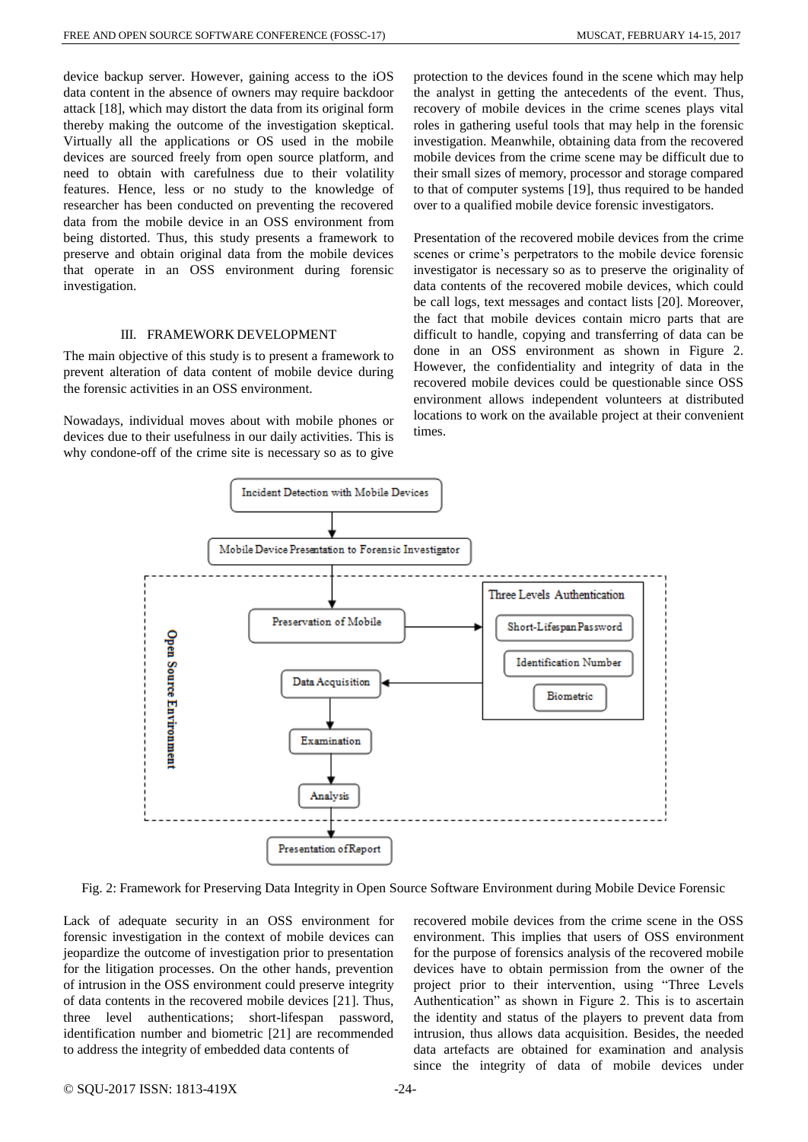device backup server. However, gaining access to the iOS data content in the absence of owners may require backdoor attack [18], which may distort the data from its original form thereby making the outcome of the investigation skeptical. Virtually all the applications or OS used in the mobile devices are sourced freely from open source platform, and need to obtain with carefulness due to their volatility features. Hence, less or no study to the knowledge of researcher has been conducted on preventing the recovered data from the mobile device in an OSS environment from being distorted. Thus, this study presents a framework to preserve and obtain original data from the mobile devices that operate in an OSS environment during forensic investigation.

#### III. FRAMEWORK DEVELOPMENT

The main objective of this study is to present a framework to prevent alteration of data content of mobile device during the forensic activities in an OSS environment.

Nowadays, individual moves about with mobile phones or devices due to their usefulness in our daily activities. This is why condone-off of the crime site is necessary so as to give protection to the devices found in the scene which may help the analyst in getting the antecedents of the event. Thus, recovery of mobile devices in the crime scenes plays vital roles in gathering useful tools that may help in the forensic investigation. Meanwhile, obtaining data from the recovered mobile devices from the crime scene may be difficult due to their small sizes of memory, processor and storage compared to that of computer systems [19], thus required to be handed over to a qualified mobile device forensic investigators.

Presentation of the recovered mobile devices from the crime scenes or crime's perpetrators to the mobile device forensic investigator is necessary so as to preserve the originality of data contents of the recovered mobile devices, which could be call logs, text messages and contact lists [20]. Moreover, the fact that mobile devices contain micro parts that are difficult to handle, copying and transferring of data can be done in an OSS environment as shown in Figure 2. However, the confidentiality and integrity of data in the recovered mobile devices could be questionable since OSS environment allows independent volunteers at distributed locations to work on the available project at their convenient times.



Fig. 2: Framework for Preserving Data Integrity in Open Source Software Environment during Mobile Device Forensic

Lack of adequate security in an OSS environment for forensic investigation in the context of mobile devices can jeopardize the outcome of investigation prior to presentation for the litigation processes. On the other hands, prevention of intrusion in the OSS environment could preserve integrity of data contents in the recovered mobile devices [21]. Thus, three level authentications; short-lifespan password, identification number and biometric [21] are recommended to address the integrity of embedded data contents of

recovered mobile devices from the crime scene in the OSS environment. This implies that users of OSS environment for the purpose of forensics analysis of the recovered mobile devices have to obtain permission from the owner of the project prior to their intervention, using "Three Levels Authentication" as shown in Figure 2. This is to ascertain the identity and status of the players to prevent data from intrusion, thus allows data acquisition. Besides, the needed data artefacts are obtained for examination and analysis since the integrity of data of mobile devices under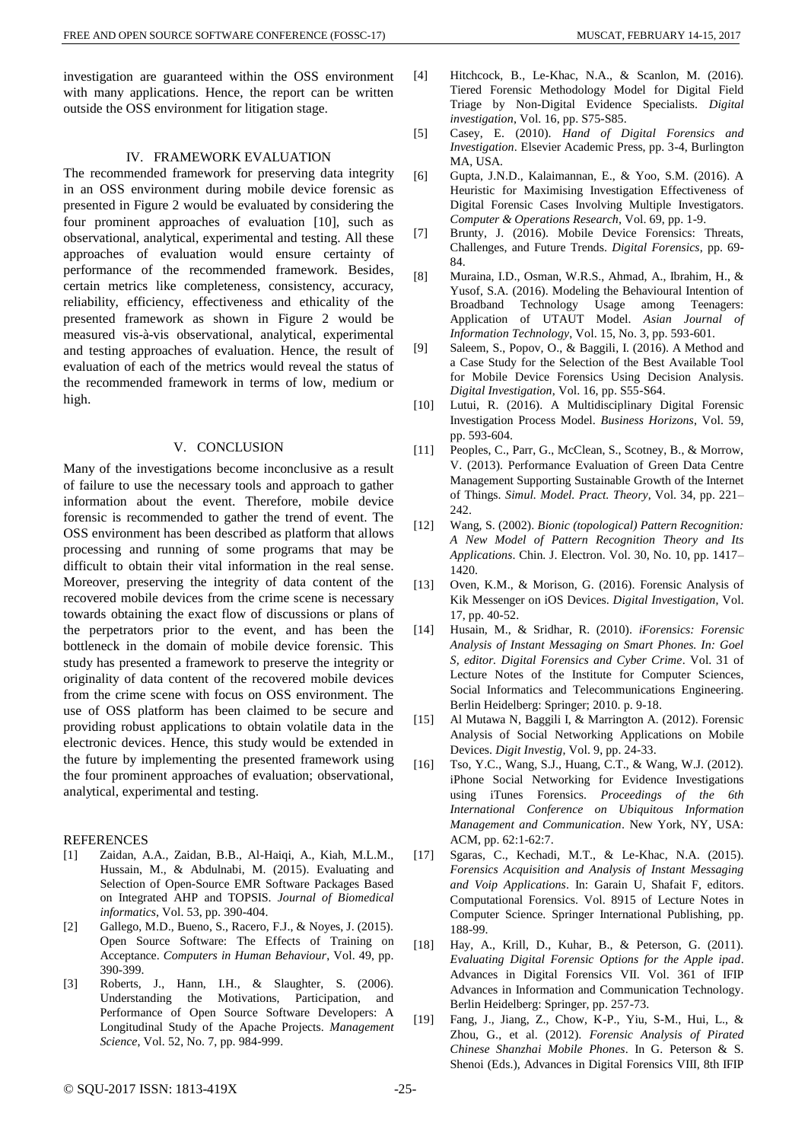investigation are guaranteed within the OSS environment with many applications. Hence, the report can be written outside the OSS environment for litigation stage.

## IV. FRAMEWORK EVALUATION

The recommended framework for preserving data integrity in an OSS environment during mobile device forensic as presented in Figure 2 would be evaluated by considering the four prominent approaches of evaluation [10], such as observational, analytical, experimental and testing. All these approaches of evaluation would ensure certainty of performance of the recommended framework. Besides, certain metrics like completeness, consistency, accuracy, reliability, efficiency, effectiveness and ethicality of the presented framework as shown in Figure 2 would be measured vis-à-vis observational, analytical, experimental and testing approaches of evaluation. Hence, the result of evaluation of each of the metrics would reveal the status of the recommended framework in terms of low, medium or high.

#### V. CONCLUSION

Many of the investigations become inconclusive as a result of failure to use the necessary tools and approach to gather information about the event. Therefore, mobile device forensic is recommended to gather the trend of event. The OSS environment has been described as platform that allows processing and running of some programs that may be difficult to obtain their vital information in the real sense. Moreover, preserving the integrity of data content of the recovered mobile devices from the crime scene is necessary towards obtaining the exact flow of discussions or plans of the perpetrators prior to the event, and has been the bottleneck in the domain of mobile device forensic. This study has presented a framework to preserve the integrity or originality of data content of the recovered mobile devices from the crime scene with focus on OSS environment. The use of OSS platform has been claimed to be secure and providing robust applications to obtain volatile data in the electronic devices. Hence, this study would be extended in the future by implementing the presented framework using the four prominent approaches of evaluation; observational, analytical, experimental and testing.

# REFERENCES

- [1] Zaidan, A.A., Zaidan, B.B., Al-Haiqi, A., Kiah, M.L.M., Hussain, M., & Abdulnabi, M. (2015). Evaluating and Selection of Open-Source EMR Software Packages Based on Integrated AHP and TOPSIS. *Journal of Biomedical informatics*, Vol. 53, pp. 390-404.
- [2] Gallego, M.D., Bueno, S., Racero, F.J., & Noyes, J. (2015). Open Source Software: The Effects of Training on Acceptance. *Computers in Human Behaviour*, Vol. 49, pp. 390-399.
- [3] Roberts, J., Hann, I.H., & Slaughter, S. (2006). Understanding the Motivations, Participation, and Performance of Open Source Software Developers: A Longitudinal Study of the Apache Projects. *Management Science*, Vol. 52, No. 7, pp. 984-999.
- [4] Hitchcock, B., Le-Khac, N.A., & Scanlon, M. (2016). Tiered Forensic Methodology Model for Digital Field Triage by Non-Digital Evidence Specialists. *Digital investigation*, Vol. 16, pp. S75-S85.
- [5] Casey, E. (2010). *Hand of Digital Forensics and Investigation*. Elsevier Academic Press, pp. 3-4, Burlington MA, USA.
- [6] Gupta, J.N.D., Kalaimannan, E., & Yoo, S.M. (2016). A Heuristic for Maximising Investigation Effectiveness of Digital Forensic Cases Involving Multiple Investigators. *Computer & Operations Research*, Vol. 69, pp. 1-9.
- [7] Brunty, J. (2016). Mobile Device Forensics: Threats, Challenges, and Future Trends. *Digital Forensics*, pp. 69- 84.
- [8] Muraina, I.D., Osman, W.R.S., Ahmad, A., Ibrahim, H., & Yusof, S.A. (2016). Modeling the Behavioural Intention of Broadband Technology Usage among Teenagers: Application of UTAUT Model. *Asian Journal of Information Technology*, Vol. 15, No. 3, pp. 593-601.
- [9] Saleem, S., Popov, O., & Baggili, I. (2016). A Method and a Case Study for the Selection of the Best Available Tool for Mobile Device Forensics Using Decision Analysis. *Digital Investigation*, Vol. 16, pp. S55-S64.
- [10] Lutui, R. (2016). A Multidisciplinary Digital Forensic Investigation Process Model. *Business Horizons*, Vol. 59, pp. 593-604.
- [11] Peoples, C., Parr, G., McClean, S., Scotney, B., & Morrow, V. (2013). Performance Evaluation of Green Data Centre Management Supporting Sustainable Growth of the Internet of Things. *Simul. Model. Pract. Theory*, Vol. 34, pp. 221– 242.
- [12] Wang, S. (2002). *Bionic (topological) Pattern Recognition: A New Model of Pattern Recognition Theory and Its Applications*. Chin. J. Electron. Vol. 30, No. 10, pp. 1417– 1420.
- [13] Oven, K.M., & Morison, G. (2016). Forensic Analysis of Kik Messenger on iOS Devices. *Digital Investigation*, Vol. 17, pp. 40-52.
- [14] Husain, M., & Sridhar, R. (2010). *iForensics: Forensic Analysis of Instant Messaging on Smart Phones. In: Goel S, editor. Digital Forensics and Cyber Crime*. Vol. 31 of Lecture Notes of the Institute for Computer Sciences, Social Informatics and Telecommunications Engineering. Berlin Heidelberg: Springer; 2010. p. 9-18.
- [15] Al Mutawa N, Baggili I, & Marrington A. (2012). Forensic Analysis of Social Networking Applications on Mobile Devices. *Digit Investig*, Vol. 9, pp. 24-33.
- [16] Tso, Y.C., Wang, S.J., Huang, C.T., & Wang, W.J. (2012). iPhone Social Networking for Evidence Investigations using iTunes Forensics. *Proceedings of the 6th International Conference on Ubiquitous Information Management and Communication*. New York, NY, USA: ACM, pp. 62:1-62:7.
- [17] Sgaras, C., Kechadi, M.T., & Le-Khac, N.A. (2015). *Forensics Acquisition and Analysis of Instant Messaging and Voip Applications*. In: Garain U, Shafait F, editors. Computational Forensics. Vol. 8915 of Lecture Notes in Computer Science. Springer International Publishing, pp. 188-99.
- [18] Hay, A., Krill, D., Kuhar, B., & Peterson, G. (2011). *Evaluating Digital Forensic Options for the Apple ipad*. Advances in Digital Forensics VII. Vol. 361 of IFIP Advances in Information and Communication Technology. Berlin Heidelberg: Springer, pp. 257-73.
- [19] Fang, J., Jiang, Z., Chow, K-P., Yiu, S-M., Hui, L., & Zhou, G., et al. (2012). *Forensic Analysis of Pirated Chinese Shanzhai Mobile Phones*. In G. Peterson & S. Shenoi (Eds.), Advances in Digital Forensics VIII, 8th IFIP